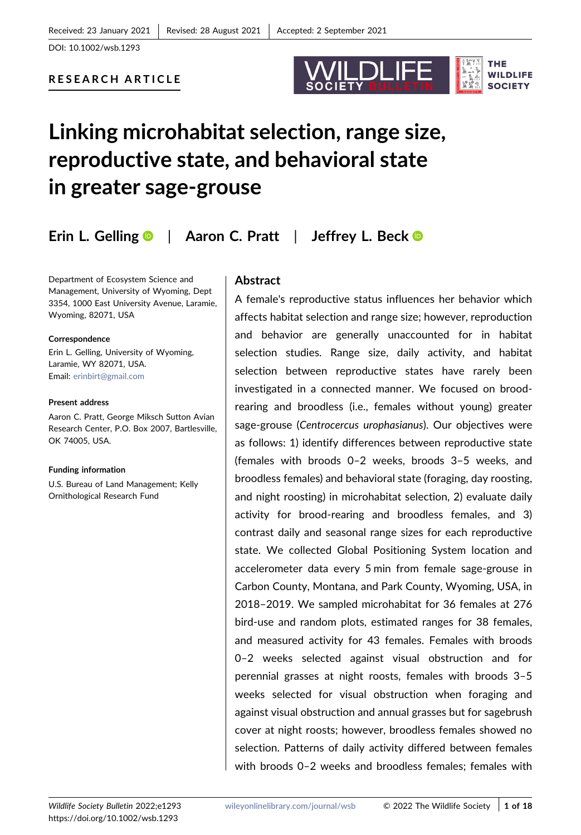DOI: 10.1002/wsb.1293



# RESEARCH ARTICLE

# Linking microhabitat selection, range size, reproductive state, and behavioral state in greater sage‐grouse

Erin L. Gellin[g](http://orcid.org/0000-0002-3940-5545)  $\bullet$  | Aaron C. Pratt | Jeffrey L. Bec[k](http://orcid.org/0000-0003-0236-7343)  $\bullet$ 

Department of Ecosystem Science and Management, University of Wyoming, Dept 3354, 1000 East University Avenue, Laramie, Wyoming, 82071, USA

Correspondence

Erin L. Gelling, University of Wyoming, Laramie, WY 82071, USA. Email: [erinbirt@gmail.com](mailto:erinbirt@gmail.com)

#### Present address

Aaron C. Pratt, George Miksch Sutton Avian Research Center, P.O. Box 2007, Bartlesville, OK 74005, USA.

#### Funding information

U.S. Bureau of Land Management; Kelly Ornithological Research Fund

# Abstract

A female's reproductive status influences her behavior which affects habitat selection and range size; however, reproduction and behavior are generally unaccounted for in habitat selection studies. Range size, daily activity, and habitat selection between reproductive states have rarely been investigated in a connected manner. We focused on brood‐ rearing and broodless (i.e., females without young) greater sage‐grouse (Centrocercus urophasianus). Our objectives were as follows: 1) identify differences between reproductive state (females with broods 0–2 weeks, broods 3–5 weeks, and broodless females) and behavioral state (foraging, day roosting, and night roosting) in microhabitat selection, 2) evaluate daily activity for brood‐rearing and broodless females, and 3) contrast daily and seasonal range sizes for each reproductive state. We collected Global Positioning System location and accelerometer data every 5 min from female sage‐grouse in Carbon County, Montana, and Park County, Wyoming, USA, in 2018–2019. We sampled microhabitat for 36 females at 276 bird‐use and random plots, estimated ranges for 38 females, and measured activity for 43 females. Females with broods 0–2 weeks selected against visual obstruction and for perennial grasses at night roosts, females with broods 3–5 weeks selected for visual obstruction when foraging and against visual obstruction and annual grasses but for sagebrush cover at night roosts; however, broodless females showed no selection. Patterns of daily activity differed between females with broods 0–2 weeks and broodless females; females with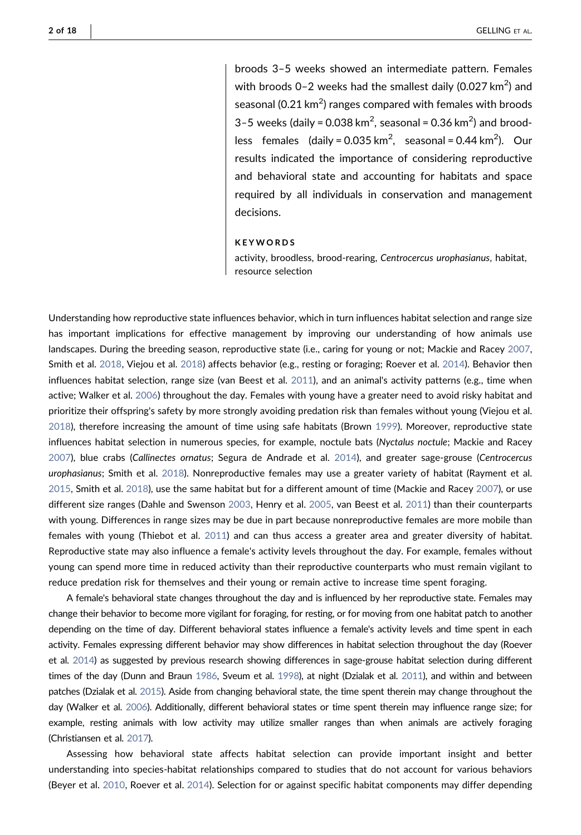broods 3–5 weeks showed an intermediate pattern. Females with broods 0–2 weeks had the smallest daily (0.027 km<sup>2</sup>) and seasonal (0.21 km $^2$ ) ranges compared with females with broods 3-5 weeks (daily = 0.038 km<sup>2</sup>, seasonal = 0.36 km<sup>2</sup>) and broodless females (daily = 0.035 km<sup>2</sup>, seasonal = 0.44 km<sup>2</sup>). Our results indicated the importance of considering reproductive and behavioral state and accounting for habitats and space required by all individuals in conservation and management decisions.

#### **KEYWORDS**

activity, broodless, brood‐rearing, Centrocercus urophasianus, habitat, resource selection

Understanding how reproductive state influences behavior, which in turn influences habitat selection and range size has important implications for effective management by improving our understanding of how animals use landscapes. During the breeding season, reproductive state (i.e., caring for young or not; Mackie and Racey [2007](#page-16-0), Smith et al. [2018,](#page-17-0) Viejou et al. [2018](#page-17-1)) affects behavior (e.g., resting or foraging; Roever et al. [2014\)](#page-16-1). Behavior then influences habitat selection, range size (van Beest et al. [2011](#page-17-2)), and an animal's activity patterns (e.g., time when active; Walker et al. [2006\)](#page-17-3) throughout the day. Females with young have a greater need to avoid risky habitat and prioritize their offspring's safety by more strongly avoiding predation risk than females without young (Viejou et al. [2018](#page-17-1)), therefore increasing the amount of time using safe habitats (Brown [1999\)](#page-15-0). Moreover, reproductive state influences habitat selection in numerous species, for example, noctule bats (Nyctalus noctule; Mackie and Racey [2007](#page-16-0)), blue crabs (Callinectes ornatus; Segura de Andrade et al. [2014\)](#page-17-4), and greater sage‐grouse (Centrocercus urophasianus; Smith et al. [2018\)](#page-17-0). Nonreproductive females may use a greater variety of habitat (Rayment et al. [2015](#page-16-2), Smith et al. [2018\)](#page-17-0), use the same habitat but for a different amount of time (Mackie and Racey [2007\)](#page-16-0), or use different size ranges (Dahle and Swenson [2003](#page-15-1), Henry et al. [2005,](#page-16-3) van Beest et al. [2011](#page-17-2)) than their counterparts with young. Differences in range sizes may be due in part because nonreproductive females are more mobile than females with young (Thiebot et al. [2011](#page-17-5)) and can thus access a greater area and greater diversity of habitat. Reproductive state may also influence a female's activity levels throughout the day. For example, females without young can spend more time in reduced activity than their reproductive counterparts who must remain vigilant to reduce predation risk for themselves and their young or remain active to increase time spent foraging.

A female's behavioral state changes throughout the day and is influenced by her reproductive state. Females may change their behavior to become more vigilant for foraging, for resting, or for moving from one habitat patch to another depending on the time of day. Different behavioral states influence a female's activity levels and time spent in each activity. Females expressing different behavior may show differences in habitat selection throughout the day (Roever et al. [2014\)](#page-16-1) as suggested by previous research showing differences in sage-grouse habitat selection during different times of the day (Dunn and Braun [1986](#page-15-2), Sveum et al. [1998\)](#page-17-6), at night (Dzialak et al. [2011](#page-15-3)), and within and between patches (Dzialak et al. [2015\)](#page-15-4). Aside from changing behavioral state, the time spent therein may change throughout the day (Walker et al. [2006\)](#page-17-3). Additionally, different behavioral states or time spent therein may influence range size; for example, resting animals with low activity may utilize smaller ranges than when animals are actively foraging (Christiansen et al. [2017\)](#page-15-5).

Assessing how behavioral state affects habitat selection can provide important insight and better understanding into species‐habitat relationships compared to studies that do not account for various behaviors (Beyer et al. [2010](#page-15-6), Roever et al. [2014\)](#page-16-1). Selection for or against specific habitat components may differ depending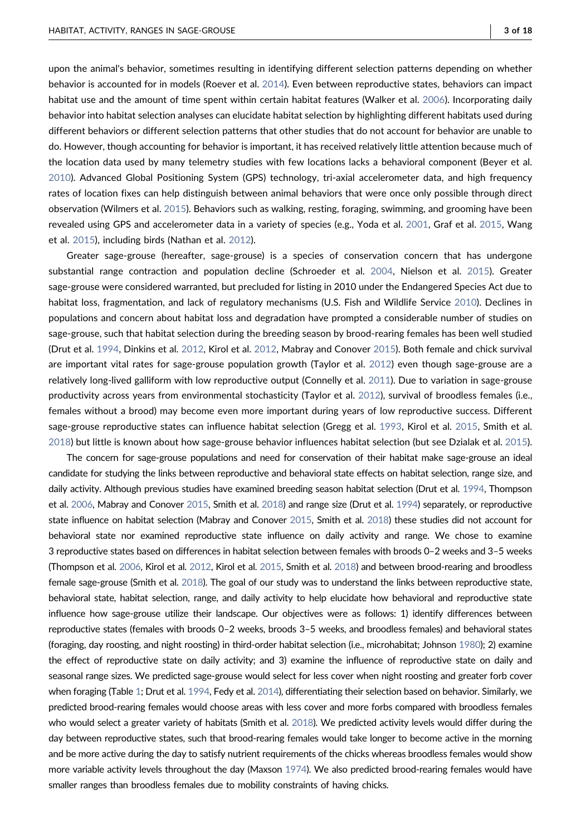upon the animal's behavior, sometimes resulting in identifying different selection patterns depending on whether behavior is accounted for in models (Roever et al. [2014](#page-16-1)). Even between reproductive states, behaviors can impact habitat use and the amount of time spent within certain habitat features (Walker et al. [2006](#page-17-3)). Incorporating daily behavior into habitat selection analyses can elucidate habitat selection by highlighting different habitats used during different behaviors or different selection patterns that other studies that do not account for behavior are unable to do. However, though accounting for behavior is important, it has received relatively little attention because much of the location data used by many telemetry studies with few locations lacks a behavioral component (Beyer et al. [2010](#page-15-6)). Advanced Global Positioning System (GPS) technology, tri‐axial accelerometer data, and high frequency rates of location fixes can help distinguish between animal behaviors that were once only possible through direct observation (Wilmers et al. [2015](#page-17-7)). Behaviors such as walking, resting, foraging, swimming, and grooming have been revealed using GPS and accelerometer data in a variety of species (e.g., Yoda et al. [2001](#page-17-8), Graf et al. [2015,](#page-15-7) Wang et al. [2015](#page-17-9)), including birds (Nathan et al. [2012](#page-16-4)).

Greater sage‐grouse (hereafter, sage‐grouse) is a species of conservation concern that has undergone substantial range contraction and population decline (Schroeder et al. [2004,](#page-17-10) Nielson et al. [2015](#page-16-5)). Greater sage‐grouse were considered warranted, but precluded for listing in 2010 under the Endangered Species Act due to habitat loss, fragmentation, and lack of regulatory mechanisms (U.S. Fish and Wildlife Service [2010\)](#page-17-11). Declines in populations and concern about habitat loss and degradation have prompted a considerable number of studies on sage-grouse, such that habitat selection during the breeding season by brood-rearing females has been well studied (Drut et al. [1994](#page-15-8), Dinkins et al. [2012,](#page-15-9) Kirol et al. [2012,](#page-16-6) Mabray and Conover [2015](#page-16-7)). Both female and chick survival are important vital rates for sage‐grouse population growth (Taylor et al. [2012\)](#page-17-12) even though sage‐grouse are a relatively long‐lived galliform with low reproductive output (Connelly et al. [2011](#page-15-10)). Due to variation in sage‐grouse productivity across years from environmental stochasticity (Taylor et al. [2012\)](#page-17-12), survival of broodless females (i.e., females without a brood) may become even more important during years of low reproductive success. Different sage‐grouse reproductive states can influence habitat selection (Gregg et al. [1993](#page-16-8), Kirol et al. [2015,](#page-16-9) Smith et al. [2018](#page-17-0)) but little is known about how sage‐grouse behavior influences habitat selection (but see Dzialak et al. [2015](#page-15-4)).

The concern for sage‐grouse populations and need for conservation of their habitat make sage‐grouse an ideal candidate for studying the links between reproductive and behavioral state effects on habitat selection, range size, and daily activity. Although previous studies have examined breeding season habitat selection (Drut et al. [1994,](#page-15-8) Thompson et al. [2006](#page-17-13), Mabray and Conover [2015,](#page-16-7) Smith et al. [2018](#page-17-0)) and range size (Drut et al. [1994\)](#page-15-8) separately, or reproductive state influence on habitat selection (Mabray and Conover [2015,](#page-16-7) Smith et al. [2018](#page-17-0)) these studies did not account for behavioral state nor examined reproductive state influence on daily activity and range. We chose to examine 3 reproductive states based on differences in habitat selection between females with broods 0–2 weeks and 3–5 weeks (Thompson et al. [2006](#page-17-13), Kirol et al. [2012](#page-16-6), Kirol et al. [2015,](#page-16-9) Smith et al. [2018](#page-17-0)) and between brood‐rearing and broodless female sage-grouse (Smith et al. [2018](#page-17-0)). The goal of our study was to understand the links between reproductive state, behavioral state, habitat selection, range, and daily activity to help elucidate how behavioral and reproductive state influence how sage-grouse utilize their landscape. Our objectives were as follows: 1) identify differences between reproductive states (females with broods 0–2 weeks, broods 3–5 weeks, and broodless females) and behavioral states (foraging, day roosting, and night roosting) in third‐order habitat selection (i.e., microhabitat; Johnson [1980\)](#page-16-10); 2) examine the effect of reproductive state on daily activity; and 3) examine the influence of reproductive state on daily and seasonal range sizes. We predicted sage‐grouse would select for less cover when night roosting and greater forb cover when foraging (Table [1;](#page-5-0) Drut et al. [1994,](#page-15-8) Fedy et al. [2014\)](#page-15-11), differentiating their selection based on behavior. Similarly, we predicted brood‐rearing females would choose areas with less cover and more forbs compared with broodless females who would select a greater variety of habitats (Smith et al. [2018](#page-17-0)). We predicted activity levels would differ during the day between reproductive states, such that brood-rearing females would take longer to become active in the morning and be more active during the day to satisfy nutrient requirements of the chicks whereas broodless females would show more variable activity levels throughout the day (Maxson [1974\)](#page-16-11). We also predicted brood-rearing females would have smaller ranges than broodless females due to mobility constraints of having chicks.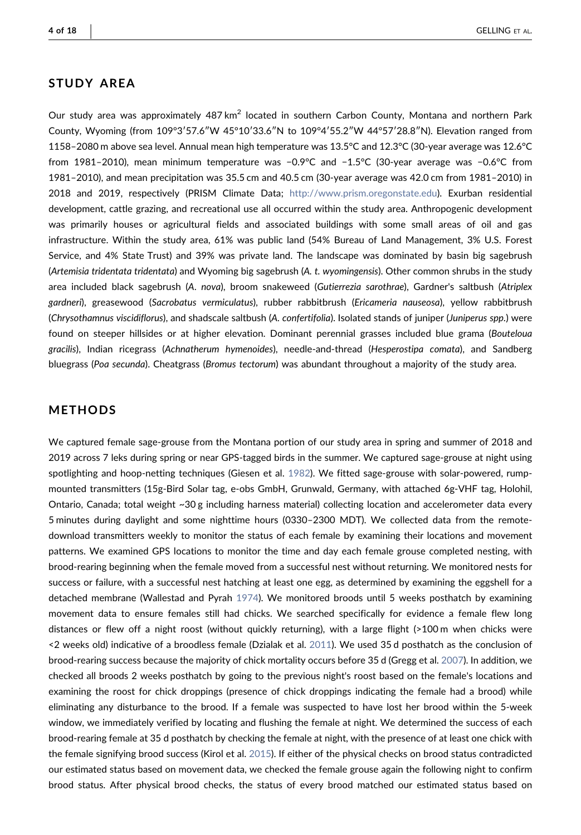# STUDY AREA

Our study area was approximately 487 km<sup>2</sup> located in southern Carbon County, Montana and northern Park County, Wyoming (from 109°3′57.6″W 45°10′33.6″N to 109°4′55.2″W 44°57′28.8″N). Elevation ranged from 1158–2080 m above sea level. Annual mean high temperature was 13.5°C and 12.3°C (30‐year average was 12.6°C from 1981–2010), mean minimum temperature was −0.9°C and −1.5°C (30‐year average was −0.6°C from 1981–2010), and mean precipitation was 35.5 cm and 40.5 cm (30‐year average was 42.0 cm from 1981–2010) in 2018 and 2019, respectively (PRISM Climate Data; [http://www.prism.oregonstate.edu\)](http://www.prism.oregonstate.edu). Exurban residential development, cattle grazing, and recreational use all occurred within the study area. Anthropogenic development was primarily houses or agricultural fields and associated buildings with some small areas of oil and gas infrastructure. Within the study area, 61% was public land (54% Bureau of Land Management, 3% U.S. Forest Service, and 4% State Trust) and 39% was private land. The landscape was dominated by basin big sagebrush (Artemisia tridentata tridentata) and Wyoming big sagebrush (A. t. wyomingensis). Other common shrubs in the study area included black sagebrush (A. nova), broom snakeweed (Gutierrezia sarothrae), Gardner's saltbush (Atriplex gardneri), greasewood (Sacrobatus vermiculatus), rubber rabbitbrush (Ericameria nauseosa), yellow rabbitbrush (Chrysothamnus viscidiflorus), and shadscale saltbush (A. confertifolia). Isolated stands of juniper (Juniperus spp.) were found on steeper hillsides or at higher elevation. Dominant perennial grasses included blue grama (Bouteloua gracilis), Indian ricegrass (Achnatherum hymenoides), needle-and-thread (Hesperostipa comata), and Sandberg bluegrass (Poa secunda). Cheatgrass (Bromus tectorum) was abundant throughout a majority of the study area.

# METHODS

We captured female sage-grouse from the Montana portion of our study area in spring and summer of 2018 and 2019 across 7 leks during spring or near GPS‐tagged birds in the summer. We captured sage‐grouse at night using spotlighting and hoop-netting techniques (Giesen et al. [1982\)](#page-15-12). We fitted sage-grouse with solar-powered, rumpmounted transmitters (15g‐Bird Solar tag, e‐obs GmbH, Grunwald, Germany, with attached 6g‐VHF tag, Holohil, Ontario, Canada; total weight ~30 g including harness material) collecting location and accelerometer data every 5 minutes during daylight and some nighttime hours (0330–2300 MDT). We collected data from the remote‐ download transmitters weekly to monitor the status of each female by examining their locations and movement patterns. We examined GPS locations to monitor the time and day each female grouse completed nesting, with brood‐rearing beginning when the female moved from a successful nest without returning. We monitored nests for success or failure, with a successful nest hatching at least one egg, as determined by examining the eggshell for a detached membrane (Wallestad and Pyrah [1974\)](#page-17-14). We monitored broods until 5 weeks posthatch by examining movement data to ensure females still had chicks. We searched specifically for evidence a female flew long distances or flew off a night roost (without quickly returning), with a large flight (>100 m when chicks were <2 weeks old) indicative of a broodless female (Dzialak et al. [2011\)](#page-15-3). We used 35 d posthatch as the conclusion of brood-rearing success because the majority of chick mortality occurs before 35 d (Gregg et al. [2007\)](#page-16-12). In addition, we checked all broods 2 weeks posthatch by going to the previous night's roost based on the female's locations and examining the roost for chick droppings (presence of chick droppings indicating the female had a brood) while eliminating any disturbance to the brood. If a female was suspected to have lost her brood within the 5‐week window, we immediately verified by locating and flushing the female at night. We determined the success of each brood‐rearing female at 35 d posthatch by checking the female at night, with the presence of at least one chick with the female signifying brood success (Kirol et al. [2015](#page-16-9)). If either of the physical checks on brood status contradicted our estimated status based on movement data, we checked the female grouse again the following night to confirm brood status. After physical brood checks, the status of every brood matched our estimated status based on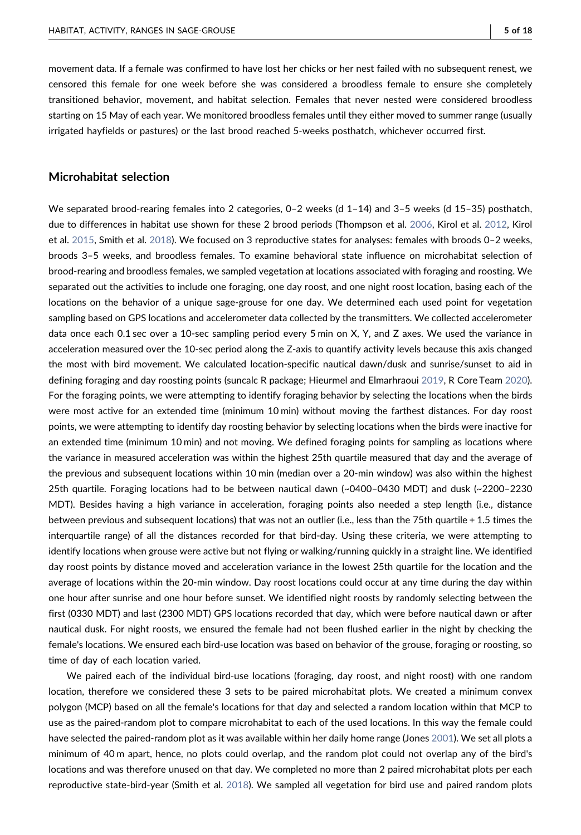movement data. If a female was confirmed to have lost her chicks or her nest failed with no subsequent renest, we censored this female for one week before she was considered a broodless female to ensure she completely transitioned behavior, movement, and habitat selection. Females that never nested were considered broodless starting on 15 May of each year. We monitored broodless females until they either moved to summer range (usually irrigated hayfields or pastures) or the last brood reached 5‐weeks posthatch, whichever occurred first.

## Microhabitat selection

We separated brood-rearing females into 2 categories, 0-2 weeks (d 1-14) and 3-5 weeks (d 15-35) posthatch, due to differences in habitat use shown for these 2 brood periods (Thompson et al. [2006,](#page-17-13) Kirol et al. [2012](#page-16-6), Kirol et al. [2015,](#page-16-9) Smith et al. [2018](#page-17-0)). We focused on 3 reproductive states for analyses: females with broods 0–2 weeks, broods 3–5 weeks, and broodless females. To examine behavioral state influence on microhabitat selection of brood‐rearing and broodless females, we sampled vegetation at locations associated with foraging and roosting. We separated out the activities to include one foraging, one day roost, and one night roost location, basing each of the locations on the behavior of a unique sage‐grouse for one day. We determined each used point for vegetation sampling based on GPS locations and accelerometer data collected by the transmitters. We collected accelerometer data once each 0.1 sec over a 10‐sec sampling period every 5 min on X, Y, and Z axes. We used the variance in acceleration measured over the 10‐sec period along the Z‐axis to quantify activity levels because this axis changed the most with bird movement. We calculated location‐specific nautical dawn/dusk and sunrise/sunset to aid in defining foraging and day roosting points (suncalc R package; Hieurmel and Elmarhraoui [2019](#page-16-13), R Core Team [2020](#page-16-14)). For the foraging points, we were attempting to identify foraging behavior by selecting the locations when the birds were most active for an extended time (minimum 10 min) without moving the farthest distances. For day roost points, we were attempting to identify day roosting behavior by selecting locations when the birds were inactive for an extended time (minimum 10 min) and not moving. We defined foraging points for sampling as locations where the variance in measured acceleration was within the highest 25th quartile measured that day and the average of the previous and subsequent locations within 10 min (median over a 20‐min window) was also within the highest 25th quartile. Foraging locations had to be between nautical dawn (~0400–0430 MDT) and dusk (~2200–2230 MDT). Besides having a high variance in acceleration, foraging points also needed a step length (i.e., distance between previous and subsequent locations) that was not an outlier (i.e., less than the 75th quartile + 1.5 times the interquartile range) of all the distances recorded for that bird‐day. Using these criteria, we were attempting to identify locations when grouse were active but not flying or walking/running quickly in a straight line. We identified day roost points by distance moved and acceleration variance in the lowest 25th quartile for the location and the average of locations within the 20-min window. Day roost locations could occur at any time during the day within one hour after sunrise and one hour before sunset. We identified night roosts by randomly selecting between the first (0330 MDT) and last (2300 MDT) GPS locations recorded that day, which were before nautical dawn or after nautical dusk. For night roosts, we ensured the female had not been flushed earlier in the night by checking the female's locations. We ensured each bird-use location was based on behavior of the grouse, foraging or roosting, so time of day of each location varied.

We paired each of the individual bird-use locations (foraging, day roost, and night roost) with one random location, therefore we considered these 3 sets to be paired microhabitat plots. We created a minimum convex polygon (MCP) based on all the female's locations for that day and selected a random location within that MCP to use as the paired‐random plot to compare microhabitat to each of the used locations. In this way the female could have selected the paired-random plot as it was available within her daily home range (Jones [2001\)](#page-16-15). We set all plots a minimum of 40 m apart, hence, no plots could overlap, and the random plot could not overlap any of the bird's locations and was therefore unused on that day. We completed no more than 2 paired microhabitat plots per each reproductive state‐bird‐year (Smith et al. [2018](#page-17-0)). We sampled all vegetation for bird use and paired random plots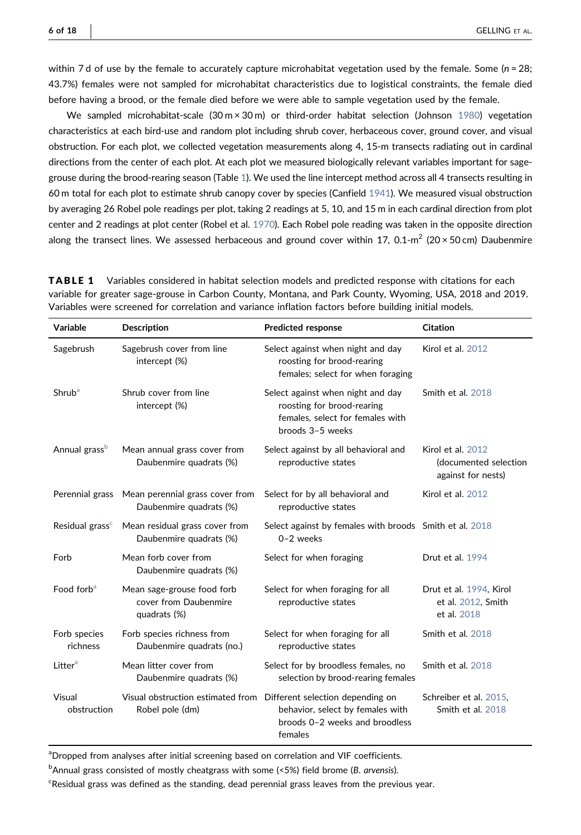within 7 d of use by the female to accurately capture microhabitat vegetation used by the female. Some ( $n = 28$ ; 43.7%) females were not sampled for microhabitat characteristics due to logistical constraints, the female died before having a brood, or the female died before we were able to sample vegetation used by the female.

We sampled microhabitat-scale  $(30 \text{ m} \times 30 \text{ m})$  or third-order habitat selection (Johnson [1980](#page-16-10)) vegetation characteristics at each bird‐use and random plot including shrub cover, herbaceous cover, ground cover, and visual obstruction. For each plot, we collected vegetation measurements along 4, 15‐m transects radiating out in cardinal directions from the center of each plot. At each plot we measured biologically relevant variables important for sage-grouse during the brood-rearing season (Table [1\)](#page-5-0). We used the line intercept method across all 4 transects resulting in 60 m total for each plot to estimate shrub canopy cover by species (Canfield [1941](#page-15-13)). We measured visual obstruction by averaging 26 Robel pole readings per plot, taking 2 readings at 5, 10, and 15 m in each cardinal direction from plot center and 2 readings at plot center (Robel et al. [1970](#page-16-16)). Each Robel pole reading was taken in the opposite direction along the transect lines. We assessed herbaceous and ground cover within 17, 0.1-m<sup>2</sup> (20 × 50 cm) Daubenmire

| Variable                    | <b>Description</b>                                                  | <b>Predicted response</b>                                                                                               | <b>Citation</b>                                                  |
|-----------------------------|---------------------------------------------------------------------|-------------------------------------------------------------------------------------------------------------------------|------------------------------------------------------------------|
| Sagebrush                   | Sagebrush cover from line<br>intercept (%)                          | Select against when night and day<br>roosting for brood-rearing<br>females; select for when foraging                    | Kirol et al. 2012                                                |
| Shrub <sup>a</sup>          | Shrub cover from line<br>intercept (%)                              | Select against when night and day<br>roosting for brood-rearing<br>females, select for females with<br>broods 3-5 weeks | Smith et al. 2018                                                |
| Annual grass <sup>b</sup>   | Mean annual grass cover from<br>Daubenmire quadrats (%)             | Select against by all behavioral and<br>reproductive states                                                             | Kirol et al. 2012<br>(documented selection<br>against for nests) |
| Perennial grass             | Mean perennial grass cover from<br>Daubenmire quadrats (%)          | Select for by all behavioral and<br>reproductive states                                                                 | Kirol et al. 2012                                                |
| Residual grass <sup>c</sup> | Mean residual grass cover from<br>Daubenmire quadrats (%)           | Select against by females with broods Smith et al. 2018<br>$0-2$ weeks                                                  |                                                                  |
| Forb                        | Mean forb cover from<br>Daubenmire quadrats (%)                     | Select for when foraging                                                                                                | Drut et al. 1994                                                 |
| Food forb <sup>a</sup>      | Mean sage-grouse food forb<br>cover from Daubenmire<br>quadrats (%) | Select for when foraging for all<br>reproductive states                                                                 | Drut et al. 1994, Kirol<br>et al. 2012, Smith<br>et al. 2018     |
| Forb species<br>richness    | Forb species richness from<br>Daubenmire quadrats (no.)             | Select for when foraging for all<br>reproductive states                                                                 | Smith et al. 2018                                                |
| Litter <sup>a</sup>         | Mean litter cover from<br>Daubenmire quadrats (%)                   | Select for by broodless females, no<br>selection by brood-rearing females                                               | Smith et al. 2018                                                |
| Visual<br>obstruction       | Visual obstruction estimated from<br>Robel pole (dm)                | Different selection depending on<br>behavior, select by females with<br>broods 0-2 weeks and broodless<br>females       | Schreiber et al. 2015,<br>Smith et al. 2018                      |

<span id="page-5-0"></span>**TABLE 1** Variables considered in habitat selection models and predicted response with citations for each variable for greater sage‐grouse in Carbon County, Montana, and Park County, Wyoming, USA, 2018 and 2019. Variables were screened for correlation and variance inflation factors before building initial models.

<span id="page-5-1"></span>aDropped from analyses after initial screening based on correlation and VIF coefficients.

<span id="page-5-2"></span><sup>b</sup>Annual grass consisted of mostly cheatgrass with some (<5%) field brome (B. arvensis).

<span id="page-5-3"></span><sup>c</sup>Residual grass was defined as the standing, dead perennial grass leaves from the previous year.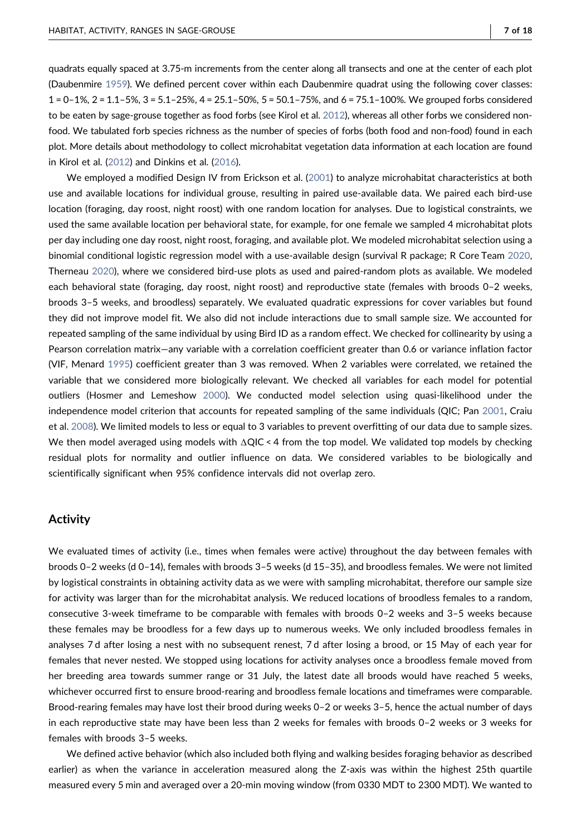quadrats equally spaced at 3.75‐m increments from the center along all transects and one at the center of each plot (Daubenmire [1959](#page-15-14)). We defined percent cover within each Daubenmire quadrat using the following cover classes: 1=0–1%, 2 = 1.1–5%, 3 = 5.1–25%, 4 = 25.1–50%, 5 = 50.1–75%, and 6 = 75.1–100%. We grouped forbs considered to be eaten by sage-grouse together as food forbs (see Kirol et al. [2012\)](#page-16-6), whereas all other forbs we considered nonfood. We tabulated forb species richness as the number of species of forbs (both food and non‐food) found in each plot. More details about methodology to collect microhabitat vegetation data information at each location are found in Kirol et al. [\(2012](#page-16-6)) and Dinkins et al. ([2016\)](#page-15-15).

We employed a modified Design IV from Erickson et al. [\(2001\)](#page-15-16) to analyze microhabitat characteristics at both use and available locations for individual grouse, resulting in paired use‐available data. We paired each bird‐use location (foraging, day roost, night roost) with one random location for analyses. Due to logistical constraints, we used the same available location per behavioral state, for example, for one female we sampled 4 microhabitat plots per day including one day roost, night roost, foraging, and available plot. We modeled microhabitat selection using a binomial conditional logistic regression model with a use-available design (survival R package; R Core Team [2020](#page-16-14), Therneau [2020](#page-17-15)), where we considered bird-use plots as used and paired-random plots as available. We modeled each behavioral state (foraging, day roost, night roost) and reproductive state (females with broods 0–2 weeks, broods 3–5 weeks, and broodless) separately. We evaluated quadratic expressions for cover variables but found they did not improve model fit. We also did not include interactions due to small sample size. We accounted for repeated sampling of the same individual by using Bird ID as a random effect. We checked for collinearity by using a Pearson correlation matrix—any variable with a correlation coefficient greater than 0.6 or variance inflation factor (VIF, Menard [1995](#page-16-18)) coefficient greater than 3 was removed. When 2 variables were correlated, we retained the variable that we considered more biologically relevant. We checked all variables for each model for potential outliers (Hosmer and Lemeshow [2000\)](#page-16-19). We conducted model selection using quasi‐likelihood under the independence model criterion that accounts for repeated sampling of the same individuals (QIC; Pan [2001](#page-16-20), Craiu et al. [2008](#page-15-17)). We limited models to less or equal to 3 variables to prevent overfitting of our data due to sample sizes. We then model averaged using models with ΔQIC < 4 from the top model. We validated top models by checking residual plots for normality and outlier influence on data. We considered variables to be biologically and scientifically significant when 95% confidence intervals did not overlap zero.

## **Activity**

We evaluated times of activity (i.e., times when females were active) throughout the day between females with broods 0–2 weeks (d 0–14), females with broods 3–5 weeks (d 15–35), and broodless females. We were not limited by logistical constraints in obtaining activity data as we were with sampling microhabitat, therefore our sample size for activity was larger than for the microhabitat analysis. We reduced locations of broodless females to a random, consecutive 3‐week timeframe to be comparable with females with broods 0–2 weeks and 3–5 weeks because these females may be broodless for a few days up to numerous weeks. We only included broodless females in analyses 7 d after losing a nest with no subsequent renest, 7 d after losing a brood, or 15 May of each year for females that never nested. We stopped using locations for activity analyses once a broodless female moved from her breeding area towards summer range or 31 July, the latest date all broods would have reached 5 weeks, whichever occurred first to ensure brood-rearing and broodless female locations and timeframes were comparable. Brood-rearing females may have lost their brood during weeks 0–2 or weeks 3–5, hence the actual number of days in each reproductive state may have been less than 2 weeks for females with broods 0–2 weeks or 3 weeks for females with broods 3–5 weeks.

We defined active behavior (which also included both flying and walking besides foraging behavior as described earlier) as when the variance in acceleration measured along the Z-axis was within the highest 25th quartile measured every 5 min and averaged over a 20‐min moving window (from 0330 MDT to 2300 MDT). We wanted to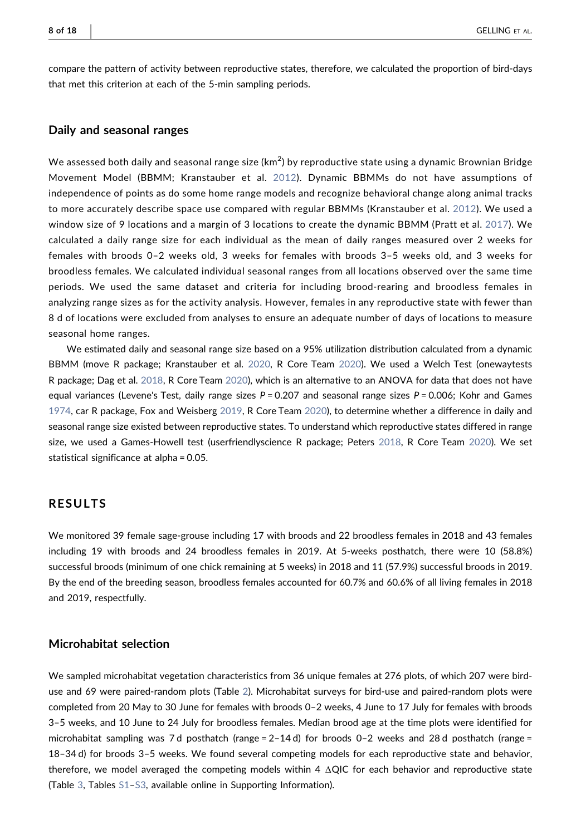compare the pattern of activity between reproductive states, therefore, we calculated the proportion of bird-days that met this criterion at each of the 5‐min sampling periods.

#### Daily and seasonal ranges

We assessed both daily and seasonal range size (km $^2$ ) by reproductive state using a dynamic Brownian Bridge Movement Model (BBMM; Kranstauber et al. [2012\)](#page-16-21). Dynamic BBMMs do not have assumptions of independence of points as do some home range models and recognize behavioral change along animal tracks to more accurately describe space use compared with regular BBMMs (Kranstauber et al. [2012\)](#page-16-21). We used a window size of 9 locations and a margin of 3 locations to create the dynamic BBMM (Pratt et al. [2017](#page-16-22)). We calculated a daily range size for each individual as the mean of daily ranges measured over 2 weeks for females with broods 0–2 weeks old, 3 weeks for females with broods 3–5 weeks old, and 3 weeks for broodless females. We calculated individual seasonal ranges from all locations observed over the same time periods. We used the same dataset and criteria for including brood-rearing and broodless females in analyzing range sizes as for the activity analysis. However, females in any reproductive state with fewer than 8 d of locations were excluded from analyses to ensure an adequate number of days of locations to measure seasonal home ranges.

We estimated daily and seasonal range size based on a 95% utilization distribution calculated from a dynamic BBMM (move R package; Kranstauber et al. [2020,](#page-16-23) R Core Team [2020](#page-16-14)). We used a Welch Test (onewaytests R package; Dag et al. [2018](#page-15-18), R Core Team [2020\)](#page-16-14), which is an alternative to an ANOVA for data that does not have equal variances (Levene's Test, daily range sizes  $P = 0.207$  and seasonal range sizes  $P = 0.006$ ; Kohr and Games [1974](#page-16-24), car R package, Fox and Weisberg [2019](#page-15-19), R Core Team [2020\)](#page-16-14), to determine whether a difference in daily and seasonal range size existed between reproductive states. To understand which reproductive states differed in range size, we used a Games‐Howell test (userfriendlyscience R package; Peters [2018,](#page-16-25) R Core Team [2020\)](#page-16-14). We set statistical significance at alpha = 0.05.

# RESULTS

We monitored 39 female sage-grouse including 17 with broods and 22 broodless females in 2018 and 43 females including 19 with broods and 24 broodless females in 2019. At 5-weeks posthatch, there were 10 (58.8%) successful broods (minimum of one chick remaining at 5 weeks) in 2018 and 11 (57.9%) successful broods in 2019. By the end of the breeding season, broodless females accounted for 60.7% and 60.6% of all living females in 2018 and 2019, respectfully.

# Microhabitat selection

We sampled microhabitat vegetation characteristics from 36 unique females at 276 plots, of which 207 were bird-use and 69 were paired-random plots (Table [2](#page-8-0)). Microhabitat surveys for bird-use and paired-random plots were completed from 20 May to 30 June for females with broods 0–2 weeks, 4 June to 17 July for females with broods 3–5 weeks, and 10 June to 24 July for broodless females. Median brood age at the time plots were identified for microhabitat sampling was 7 d posthatch (range = 2–14 d) for broods 0–2 weeks and 28 d posthatch (range = 18–34 d) for broods 3–5 weeks. We found several competing models for each reproductive state and behavior, therefore, we model averaged the competing models within 4  $\Delta$ QIC for each behavior and reproductive state (Table [3](#page-9-0), Tables S1–S3, available online in Supporting Information).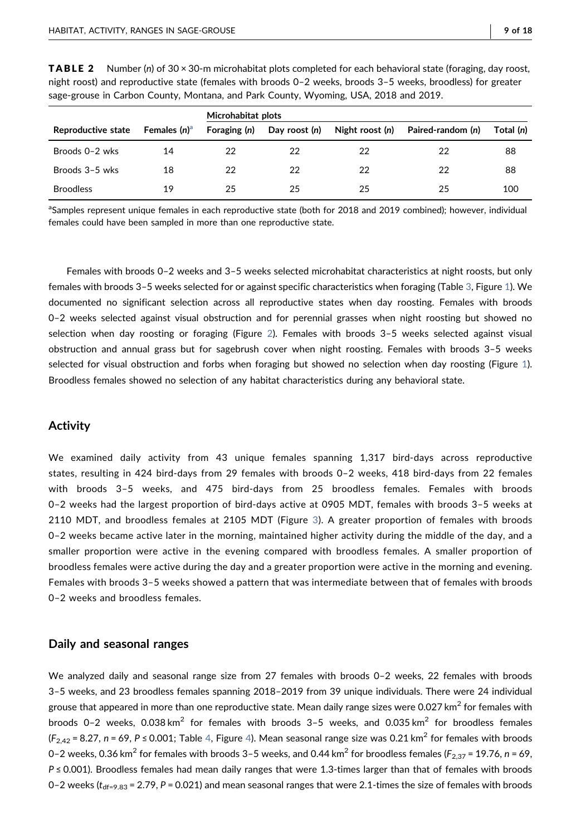|  | - |
|--|---|
|  |   |

|                    |                 | Microhabitat plots |               |                 |                   |           |
|--------------------|-----------------|--------------------|---------------|-----------------|-------------------|-----------|
| Reproductive state | Females $(n)^a$ | Foraging (n)       | Day roost (n) | Night roost (n) | Paired-random (n) | Total (n) |
| Broods 0-2 wks     | 14              | 22                 | 22            | 22              | 22                | 88        |
| Broods 3-5 wks     | 18              | 22                 | 22            | 22              | 22                | 88        |
| <b>Broodless</b>   | 19              | 25                 | 25            | 25              | 25                | 100       |

<span id="page-8-0"></span>**TABLE 2** Number (n) of 30  $\times$  30-m microhabitat plots completed for each behavioral state (foraging, day roost, night roost) and reproductive state (females with broods 0–2 weeks, broods 3–5 weeks, broodless) for greater sage-grouse in Carbon County, Montana, and Park County, Wyoming, USA, 2018 and 2019.

<span id="page-8-1"></span><sup>a</sup>Samples represent unique females in each reproductive state (both for 2018 and 2019 combined); however, individual females could have been sampled in more than one reproductive state.

Females with broods 0–2 weeks and 3–5 weeks selected microhabitat characteristics at night roosts, but only females with broods 3–5 weeks selected for or against specific characteristics when foraging (Table [3](#page-9-0), Figure [1\)](#page-10-0). We documented no significant selection across all reproductive states when day roosting. Females with broods 0–2 weeks selected against visual obstruction and for perennial grasses when night roosting but showed no selection when day roosting or foraging (Figure [2\)](#page-10-1). Females with broods 3–5 weeks selected against visual obstruction and annual grass but for sagebrush cover when night roosting. Females with broods 3–5 weeks selected for visual obstruction and forbs when foraging but showed no selection when day roosting (Figure [1](#page-10-0)). Broodless females showed no selection of any habitat characteristics during any behavioral state.

## Activity

We examined daily activity from 43 unique females spanning 1,317 bird-days across reproductive states, resulting in 424 bird‐days from 29 females with broods 0–2 weeks, 418 bird‐days from 22 females with broods 3-5 weeks, and 475 bird-days from 25 broodless females. Females with broods 0–2 weeks had the largest proportion of bird‐days active at 0905 MDT, females with broods 3–5 weeks at 2110 MDT, and broodless females at 2105 MDT (Figure [3\)](#page-10-2). A greater proportion of females with broods 0–2 weeks became active later in the morning, maintained higher activity during the middle of the day, and a smaller proportion were active in the evening compared with broodless females. A smaller proportion of broodless females were active during the day and a greater proportion were active in the morning and evening. Females with broods 3–5 weeks showed a pattern that was intermediate between that of females with broods 0–2 weeks and broodless females.

## Daily and seasonal ranges

We analyzed daily and seasonal range size from 27 females with broods 0–2 weeks, 22 females with broods 3–5 weeks, and 23 broodless females spanning 2018–2019 from 39 unique individuals. There were 24 individual grouse that appeared in more than one reproductive state. Mean daily range sizes were 0.027 km<sup>2</sup> for females with broods 0-2 weeks, 0.038 km<sup>2</sup> for females with broods 3-5 weeks, and 0.035 km<sup>2</sup> for broodless females  $(F_{2,42} = 8.27, n = 69, P \le 0.001$  $(F_{2,42} = 8.27, n = 69, P \le 0.001$  $(F_{2,42} = 8.27, n = 69, P \le 0.001$ ; Table 4, Figure [4\)](#page-11-1). Mean seasonal range size was 0.21 km<sup>2</sup> for females with broods 0–2 weeks, 0.36 km<sup>2</sup> for females with broods 3–5 weeks, and 0.44 km<sup>2</sup> for broodless females ( $F_{2,37}$  = 19.76, n = 69,  $P \le 0.001$ ). Broodless females had mean daily ranges that were 1.3-times larger than that of females with broods 0–2 weeks ( $t_{\text{df}=9.83}$  = 2.79, P = 0.021) and mean seasonal ranges that were 2.1-times the size of females with broods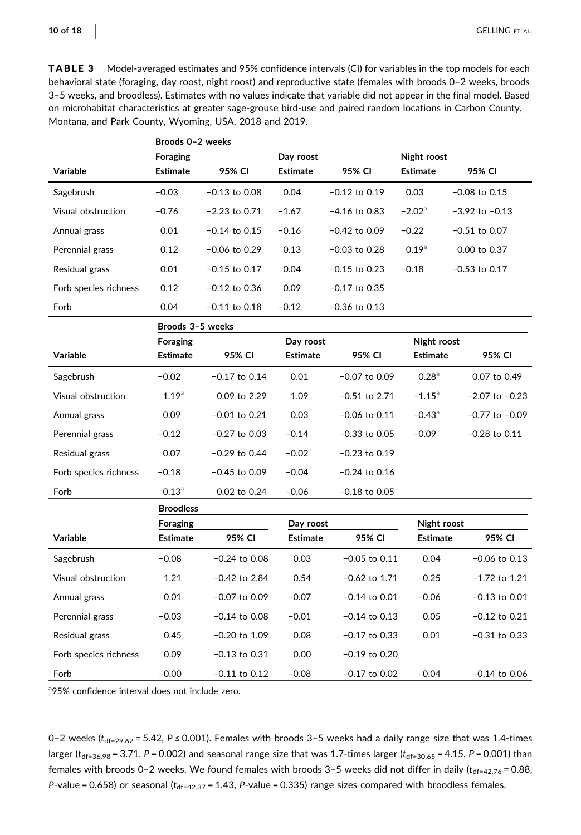<span id="page-9-0"></span>TABLE 3 Model‐averaged estimates and 95% confidence intervals (CI) for variables in the top models for each behavioral state (foraging, day roost, night roost) and reproductive state (females with broods 0–2 weeks, broods 3–5 weeks, and broodless). Estimates with no values indicate that variable did not appear in the final model. Based on microhabitat characteristics at greater sage‐grouse bird‐use and paired random locations in Carbon County, Montana, and Park County, Wyoming, USA, 2018 and 2019.

|                       | Broods 0-2 weeks  |                          |                 |                   |                      |                    |
|-----------------------|-------------------|--------------------------|-----------------|-------------------|----------------------|--------------------|
|                       | Foraging          | Night roost<br>Day roost |                 |                   |                      |                    |
| Variable              | <b>Estimate</b>   | 95% CI                   | <b>Estimate</b> | 95% CI            | <b>Estimate</b>      | 95% CI             |
| Sagebrush             | $-0.03$           | $-0.13$ to $0.08$        | 0.04            | $-0.12$ to $0.19$ | 0.03                 | $-0.08$ to 0.15    |
| Visual obstruction    | $-0.76$           | $-2.23$ to 0.71          | $-1.67$         | $-4.16$ to 0.83   | $-2.02^{\circ}$      | $-3.92$ to $-0.13$ |
| Annual grass          | 0.01              | $-0.14$ to 0.15          | $-0.16$         | $-0.42$ to 0.09   | $-0.22$              | $-0.51$ to 0.07    |
| Perennial grass       | 0.12              | $-0.06$ to 0.29          | 0.13            | $-0.03$ to 0.28   | 0.19 <sup>a</sup>    | 0.00 to 0.37       |
| Residual grass        | 0.01              | $-0.15$ to 0.17          | 0.04            | $-0.15$ to 0.23   | $-0.18$              | $-0.53$ to $0.17$  |
| Forb species richness | 0.12              | $-0.12$ to 0.36          | 0.09            | $-0.17$ to 0.35   |                      |                    |
| Forb                  | 0.04              | $-0.11$ to $0.18$        | $-0.12$         | $-0.36$ to $0.13$ |                      |                    |
|                       | Broods 3-5 weeks  |                          |                 |                   |                      |                    |
|                       | <b>Foraging</b>   |                          | Day roost       |                   | Night roost          |                    |
| <b>Variable</b>       | <b>Estimate</b>   | 95% CI                   | <b>Estimate</b> | 95% CI            | <b>Estimate</b>      | 95% CI             |
| Sagebrush             | $-0.02$           | $-0.17$ to 0.14          | 0.01            | $-0.07$ to 0.09   | 0.28 <sup>a</sup>    | 0.07 to 0.49       |
| Visual obstruction    | $1.19^{a}$        | 0.09 to 2.29             | 1.09            | $-0.51$ to 2.71   | $-1.15^{\circ}$      | $-2.07$ to $-0.23$ |
| Annual grass          | 0.09              | $-0.01$ to $0.21$        | 0.03            | $-0.06$ to $0.11$ | $-0.43$ <sup>a</sup> | $-0.77$ to $-0.09$ |
| Perennial grass       | $-0.12$           | $-0.27$ to 0.03          | $-0.14$         | $-0.33$ to 0.05   | $-0.09$              | $-0.28$ to $0.11$  |
| Residual grass        | 0.07              | $-0.29$ to 0.44          | $-0.02$         | $-0.23$ to $0.19$ |                      |                    |
| Forb species richness | $-0.18$           | $-0.45$ to 0.09          | $-0.04$         | $-0.24$ to 0.16   |                      |                    |
| Forb                  | 0.13 <sup>a</sup> | 0.02 to 0.24             | $-0.06$         | $-0.18$ to 0.05   |                      |                    |
|                       | <b>Broodless</b>  |                          |                 |                   |                      |                    |
|                       | Foraging          |                          | Day roost       |                   | Night roost          |                    |
| Variable              | <b>Estimate</b>   | 95% CI                   | <b>Estimate</b> | 95% CI            | <b>Estimate</b>      | 95% CI             |
| Sagebrush             | $-0.08$           | $-0.24$ to 0.08          | 0.03            | $-0.05$ to $0.11$ | 0.04                 | $-0.06$ to $0.13$  |
| Visual obstruction    | 1.21              | $-0.42$ to 2.84          | 0.54            | $-0.62$ to 1.71   | $-0.25$              | $-1.72$ to 1.21    |
| Annual grass          | 0.01              | $-0.07$ to 0.09          | $-0.07$         | $-0.14$ to 0.01   | $-0.06$              | $-0.13$ to $0.01$  |
| Perennial grass       | $-0.03$           | $-0.14$ to 0.08          | $-0.01$         | $-0.14$ to 0.13   | 0.05                 | $-0.12$ to 0.21    |
| Residual grass        | 0.45              | $-0.20$ to 1.09          | 0.08            | -0.17 to 0.33     | 0.01                 | $-0.31$ to 0.33    |
| Forb species richness | 0.09              | $-0.13$ to $0.31$        | 0.00            | -0.19 to 0.20     |                      |                    |
| Forb                  | $-0.00$           | $-0.11$ to 0.12          | $-0.08$         | -0.17 to 0.02     | $-0.04$              | $-0.14$ to 0.06    |

<span id="page-9-1"></span><sup>a</sup>95% confidence interval does not include zero.

0–2 weeks ( $t_{df=29.62}$  = 5.42, P ≤ 0.001). Females with broods 3–5 weeks had a daily range size that was 1.4-times larger ( $t_{df=36.98}$  = 3.71, P = 0.002) and seasonal range size that was 1.7-times larger ( $t_{df=30.65}$  = 4.15, P = 0.001) than females with broods 0-2 weeks. We found females with broods 3-5 weeks did not differ in daily ( $t_{df=42.76}$  = 0.88, P-value = 0.658) or seasonal  $(t_{df=42.37} = 1.43$ , P-value = 0.335) range sizes compared with broodless females.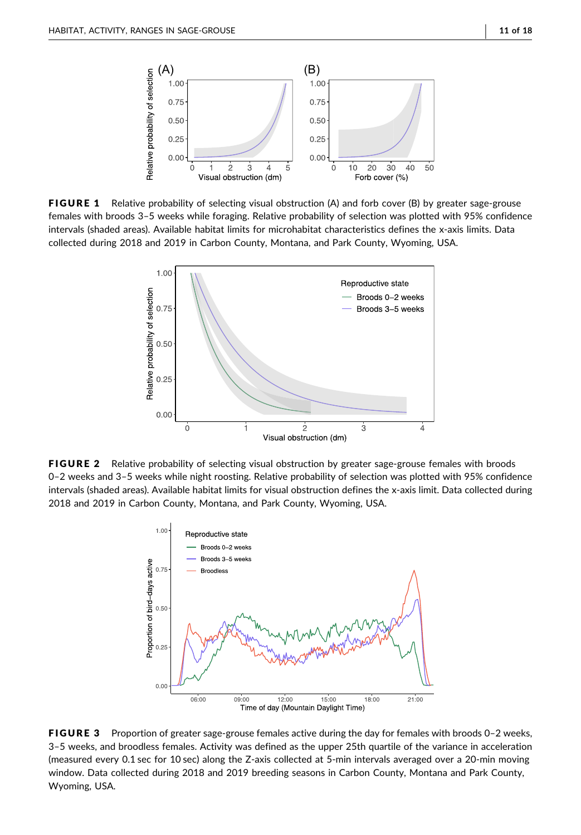<span id="page-10-0"></span>

<span id="page-10-1"></span>FIGURE 1 Relative probability of selecting visual obstruction (A) and forb cover (B) by greater sage-grouse females with broods 3–5 weeks while foraging. Relative probability of selection was plotted with 95% confidence intervals (shaded areas). Available habitat limits for microhabitat characteristics defines the x‐axis limits. Data collected during 2018 and 2019 in Carbon County, Montana, and Park County, Wyoming, USA.



<span id="page-10-2"></span>FIGURE 2 Relative probability of selecting visual obstruction by greater sage-grouse females with broods 0–2 weeks and 3–5 weeks while night roosting. Relative probability of selection was plotted with 95% confidence intervals (shaded areas). Available habitat limits for visual obstruction defines the x-axis limit. Data collected during 2018 and 2019 in Carbon County, Montana, and Park County, Wyoming, USA.



FIGURE 3 Proportion of greater sage-grouse females active during the day for females with broods 0-2 weeks, 3–5 weeks, and broodless females. Activity was defined as the upper 25th quartile of the variance in acceleration (measured every 0.1 sec for 10 sec) along the Z‐axis collected at 5‐min intervals averaged over a 20‐min moving window. Data collected during 2018 and 2019 breeding seasons in Carbon County, Montana and Park County, Wyoming, USA.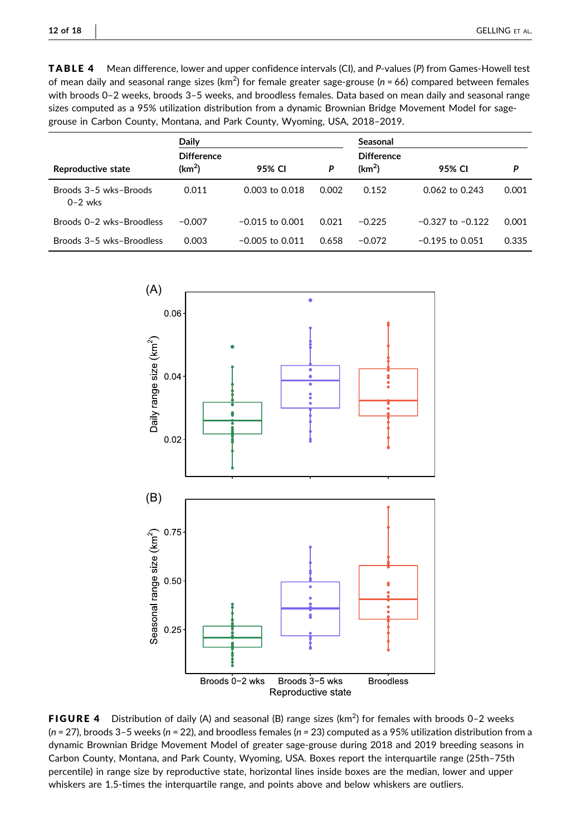<span id="page-11-0"></span>TABLE 4 Mean difference, lower and upper confidence intervals (CI), and P-values (P) from Games-Howell test of mean daily and seasonal range sizes (km<sup>2</sup>) for female greater sage-grouse (n = 66) compared between females with broods 0–2 weeks, broods 3–5 weeks, and broodless females. Data based on mean daily and seasonal range sizes computed as a 95% utilization distribution from a dynamic Brownian Bridge Movement Model for sagegrouse in Carbon County, Montana, and Park County, Wyoming, USA, 2018–2019.

|                                    | Daily                                   |                   |       | Seasonal                                |                      |       |  |
|------------------------------------|-----------------------------------------|-------------------|-------|-----------------------------------------|----------------------|-------|--|
| Reproductive state                 | <b>Difference</b><br>(km <sup>2</sup> ) | 95% CI            | P     | <b>Difference</b><br>(km <sup>2</sup> ) | 95% CI               | P     |  |
| Broods 3-5 wks-Broods<br>$0-2$ wks | 0.011                                   | 0.003 to 0.018    | 0.002 | 0.152                                   | 0.062 to 0.243       | 0.001 |  |
| Broods 0-2 wks-Broodless           | $-0.007$                                | $-0.015$ to 0.001 | 0.021 | $-0.225$                                | $-0.327$ to $-0.122$ | 0.001 |  |
| Broods 3-5 wks-Broodless           | 0.003                                   | $-0.005$ to 0.011 | 0.658 | $-0.072$                                | $-0.195$ to 0.051    | 0.335 |  |

<span id="page-11-1"></span>

FIGURE 4 Distribution of daily (A) and seasonal (B) range sizes ( $km^2$ ) for females with broods 0-2 weeks  $(n = 27)$ , broods 3–5 weeks  $(n = 22)$ , and broodless females  $(n = 23)$  computed as a 95% utilization distribution from a dynamic Brownian Bridge Movement Model of greater sage‐grouse during 2018 and 2019 breeding seasons in Carbon County, Montana, and Park County, Wyoming, USA. Boxes report the interquartile range (25th–75th percentile) in range size by reproductive state, horizontal lines inside boxes are the median, lower and upper whiskers are 1.5‐times the interquartile range, and points above and below whiskers are outliers.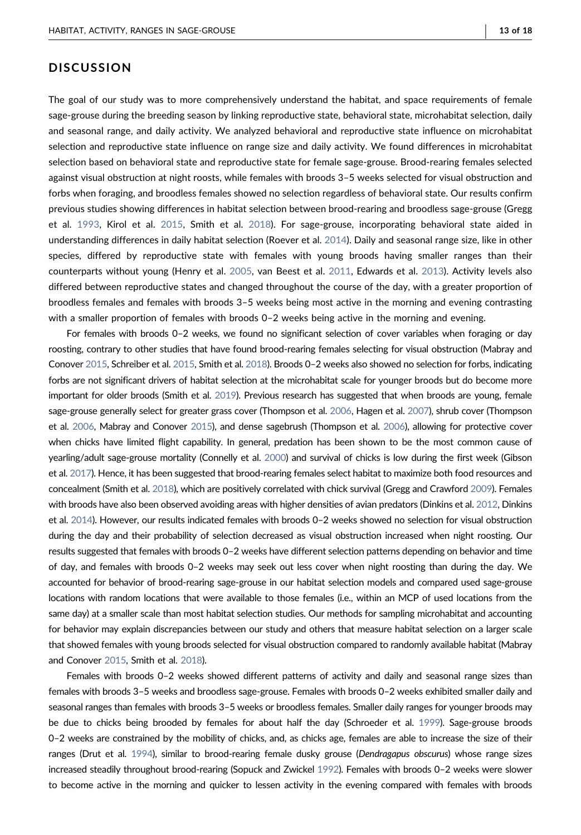# **DISCUSSION**

The goal of our study was to more comprehensively understand the habitat, and space requirements of female sage-grouse during the breeding season by linking reproductive state, behavioral state, microhabitat selection, daily and seasonal range, and daily activity. We analyzed behavioral and reproductive state influence on microhabitat selection and reproductive state influence on range size and daily activity. We found differences in microhabitat selection based on behavioral state and reproductive state for female sage‐grouse. Brood‐rearing females selected against visual obstruction at night roosts, while females with broods 3–5 weeks selected for visual obstruction and forbs when foraging, and broodless females showed no selection regardless of behavioral state. Our results confirm previous studies showing differences in habitat selection between brood‐rearing and broodless sage‐grouse (Gregg et al. [1993,](#page-16-8) Kirol et al. [2015,](#page-16-9) Smith et al. [2018](#page-17-0)). For sage‐grouse, incorporating behavioral state aided in understanding differences in daily habitat selection (Roever et al. [2014](#page-16-1)). Daily and seasonal range size, like in other species, differed by reproductive state with females with young broods having smaller ranges than their counterparts without young (Henry et al. [2005](#page-16-3), van Beest et al. [2011,](#page-17-2) Edwards et al. [2013](#page-15-20)). Activity levels also differed between reproductive states and changed throughout the course of the day, with a greater proportion of broodless females and females with broods 3–5 weeks being most active in the morning and evening contrasting with a smaller proportion of females with broods 0-2 weeks being active in the morning and evening.

For females with broods 0–2 weeks, we found no significant selection of cover variables when foraging or day roosting, contrary to other studies that have found brood‐rearing females selecting for visual obstruction (Mabray and Conover [2015](#page-16-7), Schreiber et al. [2015](#page-16-17), Smith et al. [2018\)](#page-17-0). Broods 0–2 weeks also showed no selection for forbs, indicating forbs are not significant drivers of habitat selection at the microhabitat scale for younger broods but do become more important for older broods (Smith et al. [2019](#page-17-16)). Previous research has suggested that when broods are young, female sage‐grouse generally select for greater grass cover (Thompson et al. [2006](#page-17-13), Hagen et al. [2007](#page-16-26)), shrub cover (Thompson et al. [2006](#page-17-13), Mabray and Conover [2015](#page-16-7)), and dense sagebrush (Thompson et al. [2006\)](#page-17-13), allowing for protective cover when chicks have limited flight capability. In general, predation has been shown to be the most common cause of yearling/adult sage‐grouse mortality (Connelly et al. [2000\)](#page-15-21) and survival of chicks is low during the first week (Gibson et al. [2017](#page-15-22)). Hence, it has been suggested that brood‐rearing females select habitat to maximize both food resources and concealment (Smith et al. [2018](#page-17-0)), which are positively correlated with chick survival (Gregg and Crawford [2009\)](#page-16-27). Females with broods have also been observed avoiding areas with higher densities of avian predators (Dinkins et al. [2012](#page-15-9), Dinkins et al. [2014](#page-15-23)). However, our results indicated females with broods 0–2 weeks showed no selection for visual obstruction during the day and their probability of selection decreased as visual obstruction increased when night roosting. Our results suggested that females with broods 0–2 weeks have different selection patterns depending on behavior and time of day, and females with broods 0–2 weeks may seek out less cover when night roosting than during the day. We accounted for behavior of brood‐rearing sage‐grouse in our habitat selection models and compared used sage‐grouse locations with random locations that were available to those females (i.e., within an MCP of used locations from the same day) at a smaller scale than most habitat selection studies. Our methods for sampling microhabitat and accounting for behavior may explain discrepancies between our study and others that measure habitat selection on a larger scale that showed females with young broods selected for visual obstruction compared to randomly available habitat (Mabray and Conover [2015](#page-16-7), Smith et al. [2018\)](#page-17-0).

Females with broods 0–2 weeks showed different patterns of activity and daily and seasonal range sizes than females with broods 3–5 weeks and broodless sage‐grouse. Females with broods 0–2 weeks exhibited smaller daily and seasonal ranges than females with broods 3–5 weeks or broodless females. Smaller daily ranges for younger broods may be due to chicks being brooded by females for about half the day (Schroeder et al. [1999](#page-16-28)). Sage-grouse broods 0–2 weeks are constrained by the mobility of chicks, and, as chicks age, females are able to increase the size of their ranges (Drut et al. [1994](#page-15-8)), similar to brood‐rearing female dusky grouse (Dendragapus obscurus) whose range sizes increased steadily throughout brood‐rearing (Sopuck and Zwickel [1992\)](#page-17-17). Females with broods 0–2 weeks were slower to become active in the morning and quicker to lessen activity in the evening compared with females with broods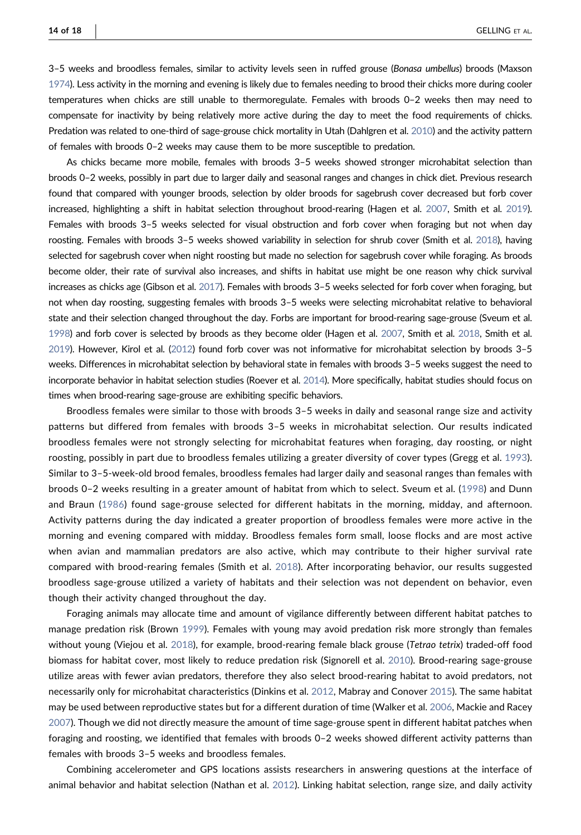3–5 weeks and broodless females, similar to activity levels seen in ruffed grouse (Bonasa umbellus) broods (Maxson [1974](#page-16-11)). Less activity in the morning and evening is likely due to females needing to brood their chicks more during cooler temperatures when chicks are still unable to thermoregulate. Females with broods 0–2 weeks then may need to compensate for inactivity by being relatively more active during the day to meet the food requirements of chicks. Predation was related to one‐third of sage‐grouse chick mortality in Utah (Dahlgren et al. [2010](#page-15-24)) and the activity pattern of females with broods 0–2 weeks may cause them to be more susceptible to predation.

As chicks became more mobile, females with broods 3–5 weeks showed stronger microhabitat selection than broods 0–2 weeks, possibly in part due to larger daily and seasonal ranges and changes in chick diet. Previous research found that compared with younger broods, selection by older broods for sagebrush cover decreased but forb cover increased, highlighting a shift in habitat selection throughout brood-rearing (Hagen et al. [2007](#page-16-26), Smith et al. [2019](#page-17-16)). Females with broods 3–5 weeks selected for visual obstruction and forb cover when foraging but not when day roosting. Females with broods 3–5 weeks showed variability in selection for shrub cover (Smith et al. [2018](#page-17-0)), having selected for sagebrush cover when night roosting but made no selection for sagebrush cover while foraging. As broods become older, their rate of survival also increases, and shifts in habitat use might be one reason why chick survival increases as chicks age (Gibson et al. [2017\)](#page-15-22). Females with broods 3–5 weeks selected for forb cover when foraging, but not when day roosting, suggesting females with broods 3–5 weeks were selecting microhabitat relative to behavioral state and their selection changed throughout the day. Forbs are important for brood-rearing sage-grouse (Sveum et al. [1998](#page-17-6)) and forb cover is selected by broods as they become older (Hagen et al. [2007,](#page-16-26) Smith et al. [2018](#page-17-0), Smith et al. [2019](#page-17-16)). However, Kirol et al. ([2012\)](#page-16-6) found forb cover was not informative for microhabitat selection by broods 3–5 weeks. Differences in microhabitat selection by behavioral state in females with broods 3–5 weeks suggest the need to incorporate behavior in habitat selection studies (Roever et al. [2014\)](#page-16-1). More specifically, habitat studies should focus on times when brood‐rearing sage‐grouse are exhibiting specific behaviors.

Broodless females were similar to those with broods 3–5 weeks in daily and seasonal range size and activity patterns but differed from females with broods 3–5 weeks in microhabitat selection. Our results indicated broodless females were not strongly selecting for microhabitat features when foraging, day roosting, or night roosting, possibly in part due to broodless females utilizing a greater diversity of cover types (Gregg et al. [1993](#page-16-8)). Similar to 3–5‐week‐old brood females, broodless females had larger daily and seasonal ranges than females with broods 0–2 weeks resulting in a greater amount of habitat from which to select. Sveum et al. ([1998\)](#page-17-6) and Dunn and Braun ([1986\)](#page-15-2) found sage-grouse selected for different habitats in the morning, midday, and afternoon. Activity patterns during the day indicated a greater proportion of broodless females were more active in the morning and evening compared with midday. Broodless females form small, loose flocks and are most active when avian and mammalian predators are also active, which may contribute to their higher survival rate compared with brood‐rearing females (Smith et al. [2018\)](#page-17-0). After incorporating behavior, our results suggested broodless sage‐grouse utilized a variety of habitats and their selection was not dependent on behavior, even though their activity changed throughout the day.

Foraging animals may allocate time and amount of vigilance differently between different habitat patches to manage predation risk (Brown [1999\)](#page-15-0). Females with young may avoid predation risk more strongly than females without young (Viejou et al. [2018](#page-17-1)), for example, brood-rearing female black grouse (Tetrao tetrix) traded-off food biomass for habitat cover, most likely to reduce predation risk (Signorell et al. [2010\)](#page-17-18). Brood-rearing sage-grouse utilize areas with fewer avian predators, therefore they also select brood‐rearing habitat to avoid predators, not necessarily only for microhabitat characteristics (Dinkins et al. [2012](#page-15-9), Mabray and Conover [2015](#page-16-7)). The same habitat may be used between reproductive states but for a different duration of time (Walker et al. [2006](#page-17-3), Mackie and Racey [2007](#page-16-0)). Though we did not directly measure the amount of time sage‐grouse spent in different habitat patches when foraging and roosting, we identified that females with broods 0–2 weeks showed different activity patterns than females with broods 3–5 weeks and broodless females.

Combining accelerometer and GPS locations assists researchers in answering questions at the interface of animal behavior and habitat selection (Nathan et al. [2012\)](#page-16-4). Linking habitat selection, range size, and daily activity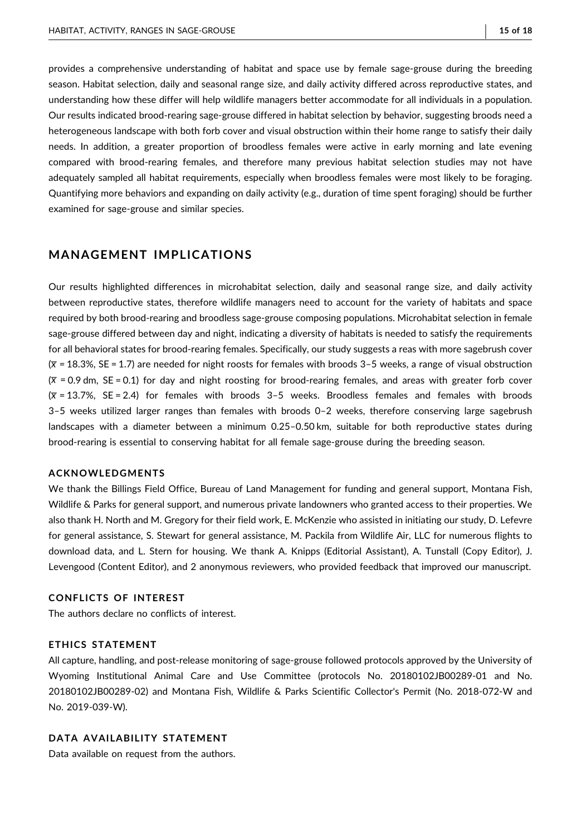provides a comprehensive understanding of habitat and space use by female sage‐grouse during the breeding season. Habitat selection, daily and seasonal range size, and daily activity differed across reproductive states, and understanding how these differ will help wildlife managers better accommodate for all individuals in a population. Our results indicated brood‐rearing sage‐grouse differed in habitat selection by behavior, suggesting broods need a heterogeneous landscape with both forb cover and visual obstruction within their home range to satisfy their daily needs. In addition, a greater proportion of broodless females were active in early morning and late evening compared with brood-rearing females, and therefore many previous habitat selection studies may not have adequately sampled all habitat requirements, especially when broodless females were most likely to be foraging. Quantifying more behaviors and expanding on daily activity (e.g., duration of time spent foraging) should be further examined for sage‐grouse and similar species.

# MANAGEMENT IMPLICATIONS

Our results highlighted differences in microhabitat selection, daily and seasonal range size, and daily activity between reproductive states, therefore wildlife managers need to account for the variety of habitats and space required by both brood‐rearing and broodless sage‐grouse composing populations. Microhabitat selection in female sage‐grouse differed between day and night, indicating a diversity of habitats is needed to satisfy the requirements for all behavioral states for brood-rearing females. Specifically, our study suggests a reas with more sagebrush cover  $(\bar{x}$  = 18.3%, SE = 1.7) are needed for night roosts for females with broods 3-5 weeks, a range of visual obstruction  $(\bar{x} = 0.9$  dm, SE = 0.1) for day and night roosting for brood-rearing females, and areas with greater forb cover  $(\overline{x}$  = 13.7%, SE = 2.4) for females with broods 3–5 weeks. Broodless females and females with broods 3–5 weeks utilized larger ranges than females with broods 0–2 weeks, therefore conserving large sagebrush landscapes with a diameter between a minimum 0.25–0.50 km, suitable for both reproductive states during brood‐rearing is essential to conserving habitat for all female sage‐grouse during the breeding season.

## ACKNOWLEDGMENTS

We thank the Billings Field Office, Bureau of Land Management for funding and general support, Montana Fish, Wildlife & Parks for general support, and numerous private landowners who granted access to their properties. We also thank H. North and M. Gregory for their field work, E. McKenzie who assisted in initiating our study, D. Lefevre for general assistance, S. Stewart for general assistance, M. Packila from Wildlife Air, LLC for numerous flights to download data, and L. Stern for housing. We thank A. Knipps (Editorial Assistant), A. Tunstall (Copy Editor), J. Levengood (Content Editor), and 2 anonymous reviewers, who provided feedback that improved our manuscript.

#### CONFLICTS OF INTEREST

The authors declare no conflicts of interest.

#### ETHICS STATEMENT

All capture, handling, and post‐release monitoring of sage‐grouse followed protocols approved by the University of Wyoming Institutional Animal Care and Use Committee (protocols No. 20180102JB00289‐01 and No. 20180102JB00289‐02) and Montana Fish, Wildlife & Parks Scientific Collector's Permit (No. 2018‐072‐W and No. 2019‐039‐W).

## DATA AVAILABILITY STATEMENT

Data available on request from the authors.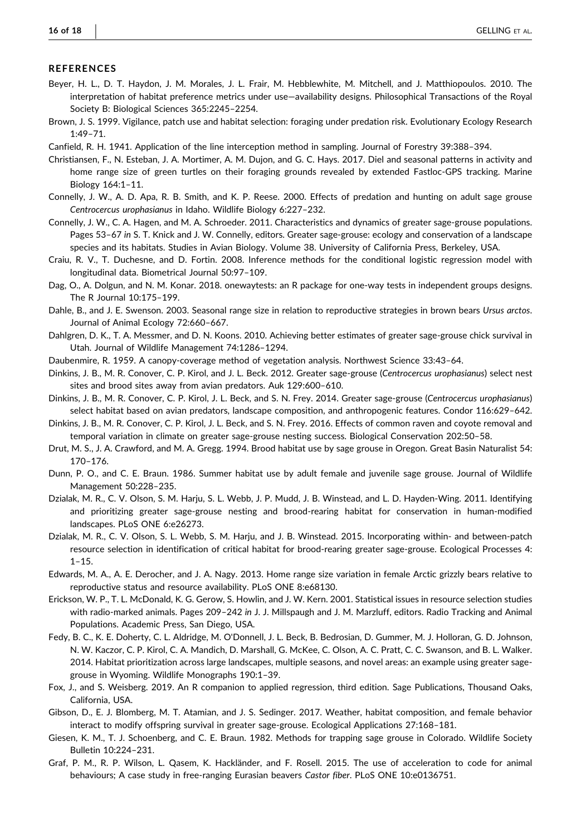#### **REFERENCES**

- <span id="page-15-6"></span>Beyer, H. L., D. T. Haydon, J. M. Morales, J. L. Frair, M. Hebblewhite, M. Mitchell, and J. Matthiopoulos. 2010. The interpretation of habitat preference metrics under use—availability designs. Philosophical Transactions of the Royal Society B: Biological Sciences 365:2245–2254.
- <span id="page-15-0"></span>Brown, J. S. 1999. Vigilance, patch use and habitat selection: foraging under predation risk. Evolutionary Ecology Research 1:49–71.
- <span id="page-15-13"></span>Canfield, R. H. 1941. Application of the line interception method in sampling. Journal of Forestry 39:388–394.
- <span id="page-15-5"></span>Christiansen, F., N. Esteban, J. A. Mortimer, A. M. Dujon, and G. C. Hays. 2017. Diel and seasonal patterns in activity and home range size of green turtles on their foraging grounds revealed by extended Fastloc-GPS tracking. Marine Biology 164:1–11.
- <span id="page-15-21"></span>Connelly, J. W., A. D. Apa, R. B. Smith, and K. P. Reese. 2000. Effects of predation and hunting on adult sage grouse Centrocercus urophasianus in Idaho. Wildlife Biology 6:227–232.
- <span id="page-15-10"></span>Connelly, J. W., C. A. Hagen, and M. A. Schroeder. 2011. Characteristics and dynamics of greater sage‐grouse populations. Pages 53–67 in S. T. Knick and J. W. Connelly, editors. Greater sage‐grouse: ecology and conservation of a landscape species and its habitats. Studies in Avian Biology. Volume 38. University of California Press, Berkeley, USA.
- <span id="page-15-17"></span>Craiu, R. V., T. Duchesne, and D. Fortin. 2008. Inference methods for the conditional logistic regression model with longitudinal data. Biometrical Journal 50:97–109.
- <span id="page-15-18"></span>Dag, O., A. Dolgun, and N. M. Konar. 2018. onewaytests: an R package for one-way tests in independent groups designs. The R Journal 10:175–199.
- <span id="page-15-1"></span>Dahle, B., and J. E. Swenson. 2003. Seasonal range size in relation to reproductive strategies in brown bears Ursus arctos. Journal of Animal Ecology 72:660–667.
- <span id="page-15-24"></span>Dahlgren, D. K., T. A. Messmer, and D. N. Koons. 2010. Achieving better estimates of greater sage-grouse chick survival in Utah. Journal of Wildlife Management 74:1286–1294.
- <span id="page-15-14"></span>Daubenmire, R. 1959. A canopy‐coverage method of vegetation analysis. Northwest Science 33:43–64.
- <span id="page-15-9"></span>Dinkins, J. B., M. R. Conover, C. P. Kirol, and J. L. Beck. 2012. Greater sage‐grouse (Centrocercus urophasianus) select nest sites and brood sites away from avian predators. Auk 129:600–610.
- <span id="page-15-23"></span>Dinkins, J. B., M. R. Conover, C. P. Kirol, J. L. Beck, and S. N. Frey. 2014. Greater sage-grouse (Centrocercus urophasianus) select habitat based on avian predators, landscape composition, and anthropogenic features. Condor 116:629–642.
- <span id="page-15-15"></span>Dinkins, J. B., M. R. Conover, C. P. Kirol, J. L. Beck, and S. N. Frey. 2016. Effects of common raven and coyote removal and temporal variation in climate on greater sage‐grouse nesting success. Biological Conservation 202:50–58.
- <span id="page-15-8"></span>Drut, M. S., J. A. Crawford, and M. A. Gregg. 1994. Brood habitat use by sage grouse in Oregon. Great Basin Naturalist 54: 170–176.
- <span id="page-15-2"></span>Dunn, P. O., and C. E. Braun. 1986. Summer habitat use by adult female and juvenile sage grouse. Journal of Wildlife Management 50:228–235.
- <span id="page-15-3"></span>Dzialak, M. R., C. V. Olson, S. M. Harju, S. L. Webb, J. P. Mudd, J. B. Winstead, and L. D. Hayden‐Wing. 2011. Identifying and prioritizing greater sage-grouse nesting and brood-rearing habitat for conservation in human-modified landscapes. PLoS ONE 6:e26273.
- <span id="page-15-4"></span>Dzialak, M. R., C. V. Olson, S. L. Webb, S. M. Harju, and J. B. Winstead. 2015. Incorporating within‐ and between‐patch resource selection in identification of critical habitat for brood‐rearing greater sage‐grouse. Ecological Processes 4: 1–15.
- <span id="page-15-20"></span>Edwards, M. A., A. E. Derocher, and J. A. Nagy. 2013. Home range size variation in female Arctic grizzly bears relative to reproductive status and resource availability. PLoS ONE 8:e68130.
- <span id="page-15-16"></span>Erickson, W. P., T. L. McDonald, K. G. Gerow, S. Howlin, and J. W. Kern. 2001. Statistical issues in resource selection studies with radio-marked animals. Pages 209-242 in J. J. Millspaugh and J. M. Marzluff, editors. Radio Tracking and Animal Populations. Academic Press, San Diego, USA.
- <span id="page-15-11"></span>Fedy, B. C., K. E. Doherty, C. L. Aldridge, M. O'Donnell, J. L. Beck, B. Bedrosian, D. Gummer, M. J. Holloran, G. D. Johnson, N. W. Kaczor, C. P. Kirol, C. A. Mandich, D. Marshall, G. McKee, C. Olson, A. C. Pratt, C. C. Swanson, and B. L. Walker. 2014. Habitat prioritization across large landscapes, multiple seasons, and novel areas: an example using greater sage‐ grouse in Wyoming. Wildlife Monographs 190:1–39.
- <span id="page-15-19"></span>Fox, J., and S. Weisberg. 2019. An R companion to applied regression, third edition. Sage Publications, Thousand Oaks, California, USA.
- <span id="page-15-22"></span>Gibson, D., E. J. Blomberg, M. T. Atamian, and J. S. Sedinger. 2017. Weather, habitat composition, and female behavior interact to modify offspring survival in greater sage‐grouse. Ecological Applications 27:168–181.
- <span id="page-15-12"></span>Giesen, K. M., T. J. Schoenberg, and C. E. Braun. 1982. Methods for trapping sage grouse in Colorado. Wildlife Society Bulletin 10:224–231.
- <span id="page-15-7"></span>Graf, P. M., R. P. Wilson, L. Qasem, K. Hackländer, and F. Rosell. 2015. The use of acceleration to code for animal behaviours: A case study in free-ranging Eurasian beavers Castor fiber. PLoS ONE 10:e0136751.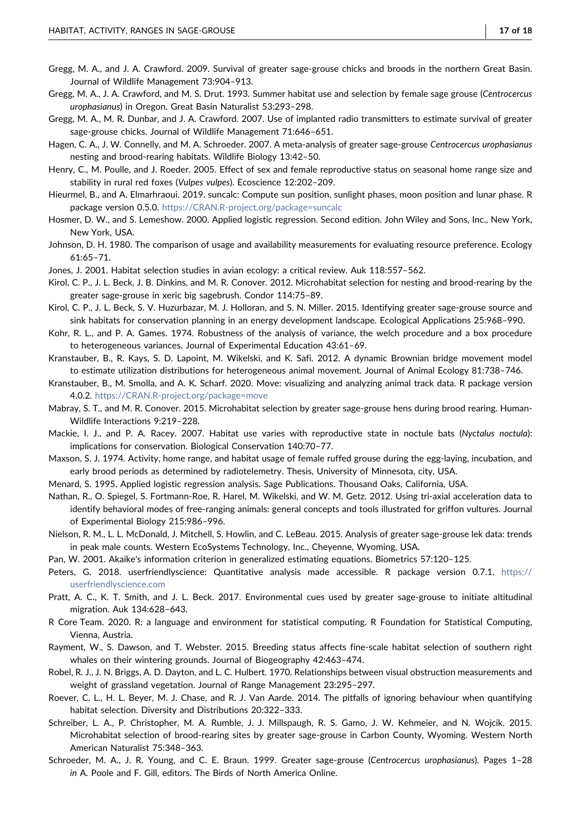- <span id="page-16-27"></span>Gregg, M. A., and J. A. Crawford. 2009. Survival of greater sage‐grouse chicks and broods in the northern Great Basin. Journal of Wildlife Management 73:904–913.
- <span id="page-16-8"></span>Gregg, M. A., J. A. Crawford, and M. S. Drut. 1993. Summer habitat use and selection by female sage grouse (Centrocercus urophasianus) in Oregon. Great Basin Naturalist 53:293–298.
- <span id="page-16-12"></span>Gregg, M. A., M. R. Dunbar, and J. A. Crawford. 2007. Use of implanted radio transmitters to estimate survival of greater sage‐grouse chicks. Journal of Wildlife Management 71:646–651.
- <span id="page-16-26"></span>Hagen, C. A., J. W. Connelly, and M. A. Schroeder. 2007. A meta-analysis of greater sage-grouse Centrocercus urophasianus nesting and brood‐rearing habitats. Wildlife Biology 13:42–50.
- <span id="page-16-3"></span>Henry, C., M. Poulle, and J. Roeder. 2005. Effect of sex and female reproductive status on seasonal home range size and stability in rural red foxes (Vulpes vulpes). Ecoscience 12:202–209.
- <span id="page-16-13"></span>Hieurmel, B., and A. Elmarhraoui. 2019. suncalc: Compute sun position, sunlight phases, moon position and lunar phase. R package version 0.5.0. <https://CRAN.R-project.org/package=suncalc>
- <span id="page-16-19"></span>Hosmer, D. W., and S. Lemeshow. 2000. Applied logistic regression. Second edition. John Wiley and Sons, Inc., New York, New York, USA.
- <span id="page-16-10"></span>Johnson, D. H. 1980. The comparison of usage and availability measurements for evaluating resource preference. Ecology 61:65–71.
- <span id="page-16-15"></span>Jones, J. 2001. Habitat selection studies in avian ecology: a critical review. Auk 118:557–562.
- <span id="page-16-6"></span>Kirol, C. P., J. L. Beck, J. B. Dinkins, and M. R. Conover. 2012. Microhabitat selection for nesting and brood-rearing by the greater sage‐grouse in xeric big sagebrush. Condor 114:75–89.
- <span id="page-16-9"></span>Kirol, C. P., J. L. Beck, S. V. Huzurbazar, M. J. Holloran, and S. N. Miller. 2015. Identifying greater sage‐grouse source and sink habitats for conservation planning in an energy development landscape. Ecological Applications 25:968–990.
- <span id="page-16-24"></span>Kohr, R. L., and P. A. Games. 1974. Robustness of the analysis of variance, the welch procedure and a box procedure to heterogeneous variances. Journal of Experimental Education 43:61–69.
- <span id="page-16-21"></span>Kranstauber, B., R. Kays, S. D. Lapoint, M. Wikelski, and K. Safi. 2012. A dynamic Brownian bridge movement model to estimate utilization distributions for heterogeneous animal movement. Journal of Animal Ecology 81:738–746.
- <span id="page-16-23"></span>Kranstauber, B., M. Smolla, and A. K. Scharf. 2020. Move: visualizing and analyzing animal track data. R package version 4.0.2. <https://CRAN.R-project.org/package=move>
- <span id="page-16-7"></span>Mabray, S. T., and M. R. Conover. 2015. Microhabitat selection by greater sage-grouse hens during brood rearing. Human-Wildlife Interactions 9:219–228.
- <span id="page-16-0"></span>Mackie, I. J., and P. A. Racey. 2007. Habitat use varies with reproductive state in noctule bats (Nyctalus noctula): implications for conservation. Biological Conservation 140:70–77.
- <span id="page-16-11"></span>Maxson, S. J. 1974. Activity, home range, and habitat usage of female ruffed grouse during the egg‐laying, incubation, and early brood periods as determined by radiotelemetry. Thesis, University of Minnesota, city, USA.
- <span id="page-16-18"></span>Menard, S. 1995. Applied logistic regression analysis. Sage Publications. Thousand Oaks, California, USA.
- <span id="page-16-4"></span>Nathan, R., O. Spiegel, S. Fortmann‐Roe, R. Harel, M. Wikelski, and W. M. Getz. 2012. Using tri‐axial acceleration data to identify behavioral modes of free‐ranging animals: general concepts and tools illustrated for griffon vultures. Journal of Experimental Biology 215:986–996.
- <span id="page-16-5"></span>Nielson, R. M., L. L. McDonald, J. Mitchell, S. Howlin, and C. LeBeau. 2015. Analysis of greater sage‐grouse lek data: trends in peak male counts. Western EcoSystems Technology, Inc., Cheyenne, Wyoming, USA.
- <span id="page-16-20"></span>Pan, W. 2001. Akaike's information criterion in generalized estimating equations. Biometrics 57:120–125.
- <span id="page-16-25"></span>Peters, G. 2018. userfriendlyscience: Quantitative analysis made accessible. R package version 0.7.1. [https://](https://userfriendlyscience.com) [userfriendlyscience.com](https://userfriendlyscience.com)
- <span id="page-16-22"></span>Pratt, A. C., K. T. Smith, and J. L. Beck. 2017. Environmental cues used by greater sage‐grouse to initiate altitudinal migration. Auk 134:628–643.
- <span id="page-16-14"></span>R Core Team. 2020. R: a language and environment for statistical computing. R Foundation for Statistical Computing, Vienna, Austria.
- <span id="page-16-2"></span>Rayment, W., S. Dawson, and T. Webster. 2015. Breeding status affects fine‐scale habitat selection of southern right whales on their wintering grounds. Journal of Biogeography 42:463–474.
- <span id="page-16-16"></span>Robel, R. J., J. N. Briggs, A. D. Dayton, and L. C. Hulbert. 1970. Relationships between visual obstruction measurements and weight of grassland vegetation. Journal of Range Management 23:295–297.
- <span id="page-16-1"></span>Roever, C. L., H. L. Beyer, M. J. Chase, and R. J. Van Aarde. 2014. The pitfalls of ignoring behaviour when quantifying habitat selection. Diversity and Distributions 20:322–333.
- <span id="page-16-17"></span>Schreiber, L. A., P. Christopher, M. A. Rumble, J. J. Millspaugh, R. S. Gamo, J. W. Kehmeier, and N. Wojcik. 2015. Microhabitat selection of brood‐rearing sites by greater sage‐grouse in Carbon County, Wyoming. Western North American Naturalist 75:348–363.
- <span id="page-16-28"></span>Schroeder, M. A., J. R. Young, and C. E. Braun. 1999. Greater sage‐grouse (Centrocercus urophasianus). Pages 1–28 in A. Poole and F. Gill, editors. The Birds of North America Online.